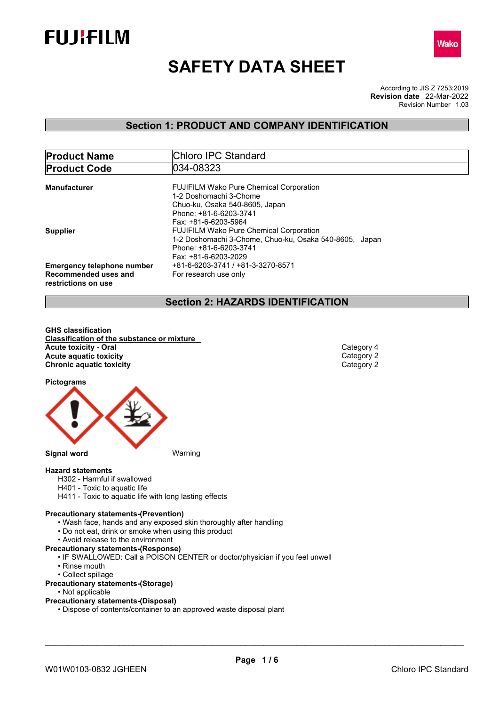



# **SAFETY DATA SHEET**

According to JIS Z 7253:2019 Revision Number 1.03 **Revision date** 22-Mar-2022

## **Section 1: PRODUCT AND COMPANY IDENTIFICATION**

| <b>Product Name</b>                         | Chloro IPC Standard                                    |  |  |
|---------------------------------------------|--------------------------------------------------------|--|--|
| <b>Product Code</b>                         | 034-08323                                              |  |  |
| <b>Manufacturer</b>                         | <b>FUJIFILM Wako Pure Chemical Corporation</b>         |  |  |
|                                             | 1-2 Doshomachi 3-Chome                                 |  |  |
|                                             | Chuo-ku, Osaka 540-8605, Japan                         |  |  |
|                                             | Phone: +81-6-6203-3741                                 |  |  |
|                                             | Fax: +81-6-6203-5964                                   |  |  |
| <b>Supplier</b>                             | <b>FUJIFILM Wako Pure Chemical Corporation</b>         |  |  |
|                                             | 1-2 Doshomachi 3-Chome, Chuo-ku, Osaka 540-8605, Japan |  |  |
|                                             | Phone: +81-6-6203-3741                                 |  |  |
|                                             | Fax: +81-6-6203-2029                                   |  |  |
| <b>Emergency telephone number</b>           | +81-6-6203-3741 / +81-3-3270-8571                      |  |  |
| Recommended uses and<br>restrictions on use | For research use only                                  |  |  |

## **Section 2: HAZARDS IDENTIFICATION**

**GHS classification Classification of the substance or mixture Acute toxicity - Oral** Category 4<br> **Acute aquatic toxicity**<br>
Category 2 **Acute** aquatic toxicity **and the control of the control of the control of the control of Category 2<br>
<b>Chronic aquatic toxicity Category 2 Chronic aquatic toxicity** 

**Pictograms**



- **Hazard statements**
	- H302 Harmful if swallowed
	- H401 Toxic to aquatic life H411 - Toxic to aquatic life with long lasting effects
- 

## **Precautionary statements-(Prevention)**

- Wash face, hands and any exposed skin thoroughly after handling
- Do not eat, drink or smoke when using this product
- Avoid release to the environment

**Precautionary statements-(Response)**

- IF SWALLOWED: Call a POISON CENTER or doctor/physician if you feel unwell
- Rinse mouth
- Collect spillage

#### **Precautionary statements-(Storage)**

- Not applicable
- **Precautionary statements-(Disposal)**
	- Dispose of contents/container to an approved waste disposal plant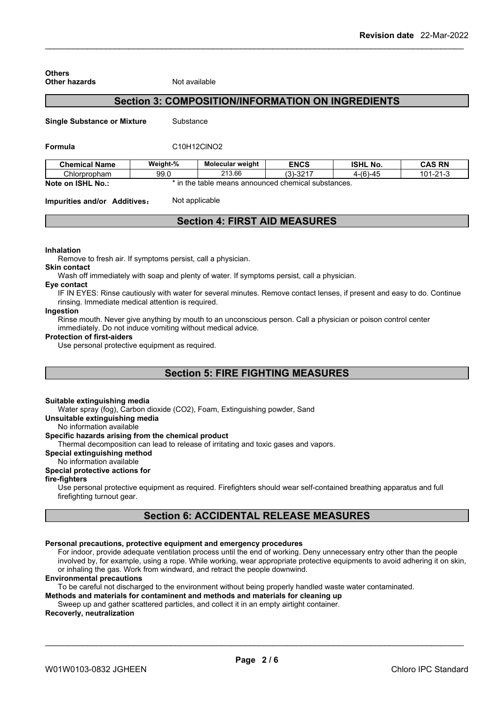| Other hazards                      | Not available                                            |                                                     |             |                 |                |
|------------------------------------|----------------------------------------------------------|-----------------------------------------------------|-------------|-----------------|----------------|
|                                    | <b>Section 3: COMPOSITION/INFORMATION ON INGREDIENTS</b> |                                                     |             |                 |                |
| <b>Single Substance or Mixture</b> | Substance                                                |                                                     |             |                 |                |
| Formula                            | C10H12CINO2                                              |                                                     |             |                 |                |
| <b>Chemical Name</b>               | Weight-%                                                 | <b>Molecular weight</b>                             | <b>ENCS</b> | <b>ISHL No.</b> | <b>CAS RN</b>  |
| Chlorpropham                       | 99.0                                                     | 213.66                                              | $(3)-3217$  | 4-(6)-45        | $101 - 21 - 3$ |
| Note on ISHL No.:                  |                                                          | * in the table means announced chemical substances. |             |                 |                |

## **Section 4: FIRST AID MEASURES**

#### **Inhalation**

**Others**

Remove to fresh air. If symptoms persist, call a physician.

#### **Skin contact**

Wash off immediately with soap and plenty of water. If symptoms persist, call a physician.

## **Eye contact**

IF IN EYES: Rinse cautiously with water for several minutes. Remove contact lenses, if present and easy to do. Continue rinsing. Immediate medical attention is required.

#### **Ingestion**

Rinse mouth. Never give anything by mouth to an unconscious person. Call a physician or poison control center immediately. Do not induce vomiting without medical advice.

#### **Protection of first-aiders**

Use personal protective equipment as required.

## **Section 5: FIRE FIGHTING MEASURES**

#### **Suitable extinguishing media**

Water spray (fog), Carbon dioxide (CO2), Foam, Extinguishing powder, Sand

**Unsuitable extinguishing media**

No information available

#### **Specific hazards arising from the chemical product**

Thermal decomposition can lead to release of irritating and toxic gases and vapors.

#### **Special extinguishing method**

## No information available

## **Special protective actions for**

#### **fire-fighters**

Use personal protective equipment as required.Firefighters should wear self-contained breathing apparatus and full firefighting turnout gear.

## **Section 6: ACCIDENTAL RELEASE MEASURES**

#### **Personal precautions, protective equipment and emergency procedures**

For indoor, provide adequate ventilation process until the end of working. Deny unnecessary entry other than the people involved by, for example, using a rope. While working, wear appropriate protective equipments to avoid adhering it on skin, or inhaling the gas. Work from windward, and retract the people downwind.

#### **Environmental precautions**

To be careful not discharged to the environment without being properly handled waste water contaminated.

**Methods and materials for contaminent and methods and materials for cleaning up**

## Sweep up and gather scattered particles, and collect it in an empty airtight container.

## **Recoverly, neutralization**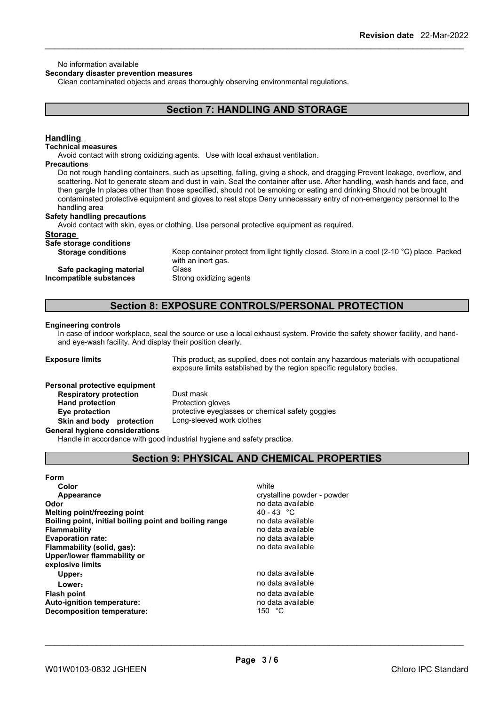#### No information available

#### **Secondary disaster prevention measures**

Clean contaminated objects and areas thoroughly observing environmental regulations.

## **Section 7: HANDLING AND STORAGE**

#### **Handling**

#### **Technical measures**

Avoid contact with strong oxidizing agents. Use with local exhaust ventilation.

#### **Precautions**

Do not rough handling containers, such as upsetting, falling, giving a shock, and dragging Prevent leakage, overflow, and scattering. Not to generate steam and dust in vain. Seal the container after use. After handling, wash hands and face, and then gargle In places other than those specified, should not be smoking or eating and drinking Should not be brought contaminated protective equipment and gloves to rest stops Deny unnecessary entry of non-emergency personnel to the handling area

#### **Safety handling precautions**

Avoid contact with skin, eyes or clothing. Use personal protective equipment as required.

#### **Storage**

**Safe storage conditions**

**Incompatible substances** 

Keep container protect from light tightly closed. Store in a cool (2-10 °C) place. Packed with an inert gas. **Safe packaging material** Glass<br>**ompatible substances** Strong oxidizing agents

### **Section 8: EXPOSURE CONTROLS/PERSONAL PROTECTION**

#### **Engineering controls**

In case of indoor workplace, seal the source or use a local exhaust system. Provide the safety shower facility, and handand eye-wash facility. And display their position clearly.

**Exposure limits** This product, as supplied, does not contain any hazardous materials with occupational exposure limits established by the region specific regulatory bodies.

#### **Personal protective equipment**

**Respiratory protection** Dust mask **Hand protection** Protection gloves **Eye protection** protective eyeglasses or chemical safety goggles **Skin and body protection** Long-sleeved work clothes

**General hygiene considerations**

Handle in accordance with good industrial hygiene and safety practice.

## **Section 9: PHYSICAL AND CHEMICAL PROPERTIES**

| Form                                                   |                             |
|--------------------------------------------------------|-----------------------------|
| Color                                                  | white                       |
| Appearance                                             | crystalline powder - powder |
| Odor                                                   | no data available           |
| Melting point/freezing point                           | 40 - 43 °C                  |
| Boiling point, initial boiling point and boiling range | no data available           |
| <b>Flammability</b>                                    | no data available           |
| <b>Evaporation rate:</b>                               | no data available           |
| Flammability (solid, gas):                             | no data available           |
| Upper/lower flammability or                            |                             |
| explosive limits                                       |                             |
| Upper:                                                 | no data available           |
| Lower:                                                 | no data available           |
| <b>Flash point</b>                                     | no data available           |
| <b>Auto-ignition temperature:</b>                      | no data available           |
| Decomposition temperature:                             | 150 °C                      |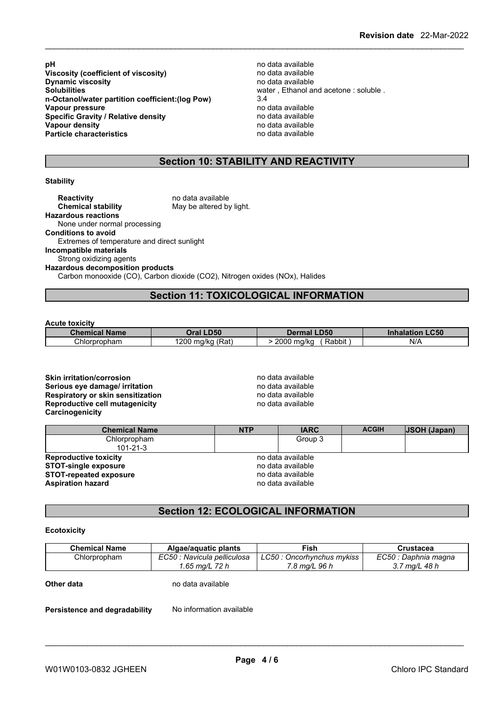**pH** no data available<br>**Viscosity (coefficient of viscosity)** example the no data available **Viscosity (coefficient of viscosity)** no data available **Dynamic viscosity**<br>Solubilities **n-Octanol/water partition coefficient:(log Pow)** 3.4 **Vapour pressure** no data available<br> **Specific Gravity / Relative density** enter the no data available **Specific Gravity / Relative density**<br>Vapour density **Particle characteristics** 

water, Ethanol and acetone : soluble .<br>3.4 **Vapour density** no data available

## **Section 10: STABILITY AND REACTIVITY**

#### **Stability**

| <b>Reactivity</b><br><b>Chemical stability</b> | no data available<br>May be altered by light.                               |
|------------------------------------------------|-----------------------------------------------------------------------------|
| <b>Hazardous reactions</b>                     |                                                                             |
| None under normal processing                   |                                                                             |
| <b>Conditions to avoid</b>                     |                                                                             |
| Extremes of temperature and direct sunlight    |                                                                             |
| Incompatible materials                         |                                                                             |
| Strong oxidizing agents                        |                                                                             |
| <b>Hazardous decomposition products</b>        |                                                                             |
|                                                | Carbon monooxide (CO), Carbon dioxide (CO2), Nitrogen oxides (NOx), Halides |
|                                                |                                                                             |

## **Section 11: TOXICOLOGICAL INFORMATION**

#### **Acute toxicity**

| <b>Chemical Name</b> | <b>Oral LD50</b>      | <b>LD50</b><br>Dermal        | <b>_C50</b><br>Inhala<br>™tion. |
|----------------------|-----------------------|------------------------------|---------------------------------|
| Chlorpropham         | 200<br>(Rat)<br>ma/ka | 2000<br>.<br>Rabbit<br>ma/kc | N/A                             |

**Skin irritation/corrosion** no data available **Serious eye damage/ irritation** no data available **Respiratory or skin sensitization** no data available **Reproductive cell mutagenicity** no data available

| Skin irritation/corrosion         |  |
|-----------------------------------|--|
| Serious eve damage/ irritation    |  |
| Respiratory or skin sensitization |  |
| Reproductive cell mutagenicity    |  |
| Carcinogenicity                   |  |

| <b>Chemical Name</b>           | <b>NTP</b> | <b>IARC</b>       | <b>ACGIH</b> | <b>JSOH</b> (Japan) |
|--------------------------------|------------|-------------------|--------------|---------------------|
| Chlorpropham<br>$101 - 21 - 3$ |            | Group 3           |              |                     |
| <b>Reproductive toxicity</b>   |            | no data available |              |                     |
| <b>STOT-single exposure</b>    |            | no data available |              |                     |
| <b>STOT-repeated exposure</b>  |            | no data available |              |                     |
| <b>Aspiration hazard</b>       |            | no data available |              |                     |

## **Section 12: ECOLOGICAL INFORMATION**

#### **Ecotoxicity**

| <b>Chemical Name</b> | Algae/aguatic plants        | Fish                      | Crustacea            |
|----------------------|-----------------------------|---------------------------|----------------------|
| Chlorpropham         | EC50 : Navicula pelliculosa | LC50: Oncorhynchus mykiss | EC50 : Daphnia magna |
|                      | 1.65 ma/L 72 h              | 7.8 mg/L 96 h             | 3.7 ma/L 48 h        |
| Other data           | no data available           |                           |                      |

**Persistence and degradability** No information available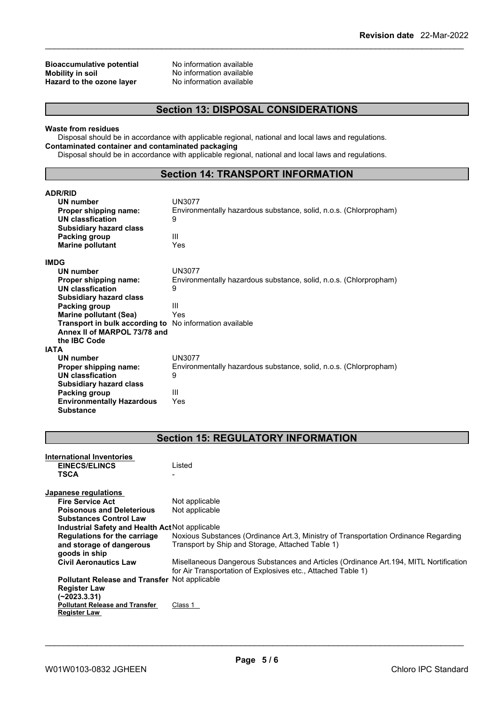## **Bioaccumulative potential** No information available<br> **Mobility in soil Mobility No information available Hazard** to the ozone layer

No information available<br>No information available

## **Section 13: DISPOSAL CONSIDERATIONS**

#### **Waste from residues**

Disposal should be in accordance with applicable regional, national and local laws and regulations. **Contaminated container and contaminated packaging**

Disposal should be in accordance with applicable regional, national and local laws and regulations.

## **Section 14: TRANSPORT INFORMATION**

| <b>ADR/RID</b>                   |                                                                   |
|----------------------------------|-------------------------------------------------------------------|
| <b>UN number</b>                 | <b>UN3077</b>                                                     |
| Proper shipping name:            | Environmentally hazardous substance, solid, n.o.s. (Chlorpropham) |
| UN classfication                 | 9                                                                 |
| <b>Subsidiary hazard class</b>   |                                                                   |
| Packing group                    | Ш                                                                 |
| <b>Marine pollutant</b>          | Yes                                                               |
| <b>IMDG</b>                      |                                                                   |
| UN number                        | UN3077                                                            |
| Proper shipping name:            | Environmentally hazardous substance, solid, n.o.s. (Chlorpropham) |
| <b>UN classfication</b>          | 9                                                                 |
| <b>Subsidiary hazard class</b>   |                                                                   |
| Packing group                    | Ш                                                                 |
| <b>Marine pollutant (Sea)</b>    | Yes                                                               |
| Transport in bulk according to   | No information available                                          |
| Annex II of MARPOL 73/78 and     |                                                                   |
| the IBC Code                     |                                                                   |
| <b>IATA</b>                      |                                                                   |
| <b>UN number</b>                 | <b>UN3077</b>                                                     |
| Proper shipping name:            | Environmentally hazardous substance, solid, n.o.s. (Chlorpropham) |
| <b>UN classfication</b>          | 9                                                                 |
| <b>Subsidiary hazard class</b>   |                                                                   |
| Packing group                    | Ш                                                                 |
| <b>Environmentally Hazardous</b> | Yes                                                               |
| <b>Substance</b>                 |                                                                   |

## **Section 15: REGULATORY INFORMATION**

| International Inventories                            |                                                                                        |
|------------------------------------------------------|----------------------------------------------------------------------------------------|
| <b>EINECS/ELINCS</b>                                 | Listed                                                                                 |
| <b>TSCA</b>                                          |                                                                                        |
|                                                      |                                                                                        |
| Japanese regulations                                 |                                                                                        |
| <b>Fire Service Act</b>                              | Not applicable                                                                         |
| <b>Poisonous and Deleterious</b>                     | Not applicable                                                                         |
| <b>Substances Control Law</b>                        |                                                                                        |
| Industrial Safety and Health Act Not applicable      |                                                                                        |
| <b>Regulations for the carriage</b>                  | Noxious Substances (Ordinance Art.3, Ministry of Transportation Ordinance Regarding    |
| and storage of dangerous                             | Transport by Ship and Storage, Attached Table 1)                                       |
| goods in ship                                        |                                                                                        |
| <b>Civil Aeronautics Law</b>                         | Misellaneous Dangerous Substances and Articles (Ordinance Art. 194, MITL Nortification |
|                                                      | for Air Transportation of Explosives etc., Attached Table 1)                           |
| <b>Pollutant Release and Transfer Not applicable</b> |                                                                                        |
| <b>Register Law</b>                                  |                                                                                        |
| (~2023.3.31)                                         |                                                                                        |
| <b>Pollutant Release and Transfer</b>                | Class 1                                                                                |
| <b>Register Law</b>                                  |                                                                                        |
|                                                      |                                                                                        |